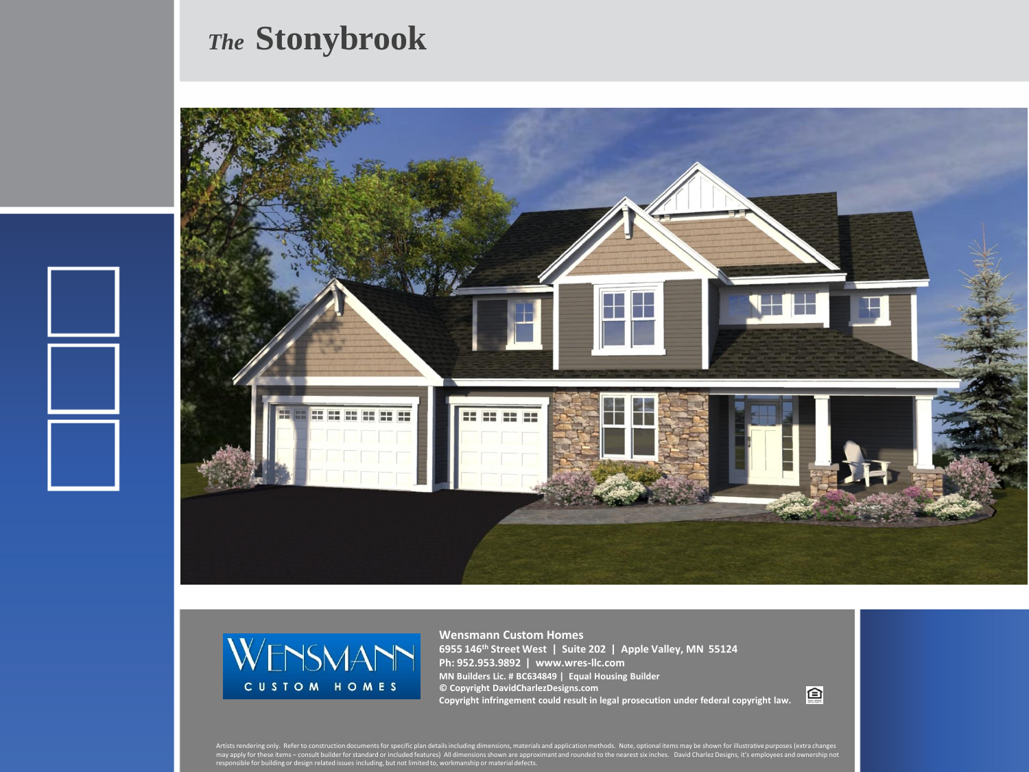## *The* **Stonybrook**





**Wensmann Custom Homes 6955 146th Street West | Suite 202 | Apple Valley, MN 55124 Ph: 952.953.9892 | www.wres-llc.com MN Builders Lic. # BC634849 | Equal Housing Builder © Copyright DavidCharlezDesigns.com Copyright infringement could result in legal prosecution under federal copyright law.**

回

Artists rendering only. Refer to construction documents for specific plan details including dimensions, materials and application methods. Note, optional items may be shown for illustrative purposes (extra changes<br>may appl